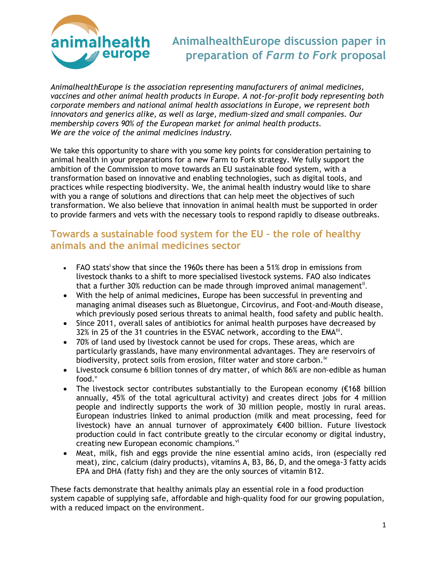

*AnimalhealthEurope is the association representing manufacturers of animal medicines, vaccines and other animal health products in Europe. A not-for-profit body representing both corporate members and national animal health associations in Europe, we represent both innovators and generics alike, as well as large, medium-sized and small companies. Our membership covers 90% of the European market for animal health products. We are the voice of the animal medicines industry.* 

We take this opportunity to share with you some key points for consideration pertaining to animal health in your preparations for a new Farm to Fork strategy. We fully support the ambition of the Commission to move towards an EU sustainable food system, with a transformation based on innovative and enabling technologies, such as digital tools, and practices while respecting biodiversity. We, the animal health industry would like to share with you a range of solutions and directions that can help meet the objectives of such transformation. We also believe that innovation in animal health must be supported in order to provide farmers and vets with the necessary tools to respond rapidly to disease outbreaks.

### **Towards a sustainable food system for the EU – the role of healthy animals and the animal medicines sector**

- FAO stats<sup>i</sup> show that since the 1960s there has been a 51% drop in emissions from livestock thanks to a shift to more specialised livestock systems. FAO also indicates that a further 30% reduction can be made through improved animal management<sup>ii</sup>.
- With the help of animal medicines, Europe has been successful in preventing and managing animal diseases such as Bluetongue, Circovirus, and Foot-and-Mouth disease, which previously posed serious threats to animal health, food safety and public health.
- Since 2011, overall sales of antibiotics for animal health purposes have decreased by 32% in 25 of the 31 countries in the ESVAC network, according to the EMA<sup>iii</sup>.
- 70% of land used by livestock cannot be used for crops. These areas, which are particularly grasslands, have many environmental advantages. They are reservoirs of biodiversity, protect soils from erosion, filter water and store carbon.<sup>iv</sup>
- Livestock consume 6 billion tonnes of dry matter, of which 86% are non-edible as human food. $<sup>v</sup>$ </sup>
- The livestock sector contributes substantially to the European economy (€168 billion annually, 45% of the total agricultural activity) and creates direct jobs for 4 million people and indirectly supports the work of 30 million people, mostly in rural areas. European industries linked to animal production (milk and meat processing, feed for livestock) have an annual turnover of approximately €400 billion. Future livestock production could in fact contribute greatly to the circular economy or digital industry, creating new European economic champions.<sup>vi</sup>
- Meat, milk, fish and eggs provide the nine essential amino acids, iron (especially red meat), zinc, calcium (dairy products), vitamins A, B3, B6, D, and the omega-3 fatty acids EPA and DHA (fatty fish) and they are the only sources of vitamin B12.

These facts demonstrate that healthy animals play an essential role in a food production system capable of supplying safe, affordable and high-quality food for our growing population, with a reduced impact on the environment.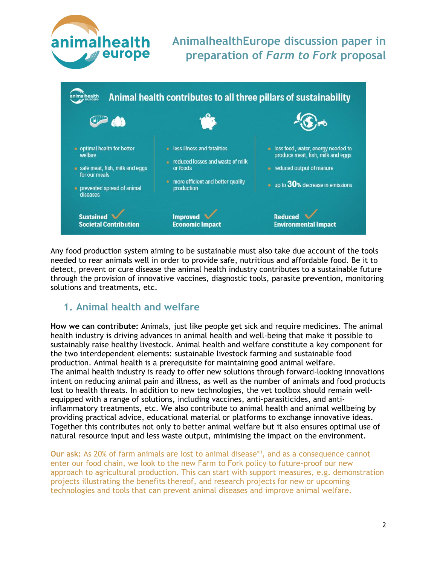



Any food production system aiming to be sustainable must also take due account of the tools needed to rear animals well in order to provide safe, nutritious and affordable food. Be it to detect, prevent or cure disease the animal health industry contributes to a sustainable future through the provision of innovative vaccines, diagnostic tools, parasite prevention, monitoring solutions and treatments, etc.

#### **1. Animal health and welfare**

**How we can contribute:** Animals, just like people get sick and require medicines. The animal health industry is driving advances in animal health and well-being that make it possible to sustainably raise healthy livestock. Animal health and welfare constitute a key component for the two interdependent elements: sustainable livestock farming and sustainable food production. Animal health is a prerequisite for maintaining good animal welfare. The animal health industry is ready to offer new solutions through forward-looking innovations intent on reducing animal pain and illness, as well as the number of animals and food products lost to health threats. In addition to new technologies, the vet toolbox should remain wellequipped with a range of solutions, including vaccines, anti-parasiticides, and antiinflammatory treatments, etc. We also contribute to animal health and animal wellbeing by providing practical advice, educational material or platforms to exchange innovative ideas. Together this contributes not only to better animal welfare but it also ensures optimal use of natural resource input and less waste output, minimising the impact on the environment.

**Our ask:** As 20% of farm animals are lost to animal disease<sup>vii</sup>, and as a consequence cannot enter our food chain, we look to the new Farm to Fork policy to future-proof our new approach to agricultural production. This can start with support measures, e.g. demonstration projects illustrating the benefits thereof, and research projects for new or upcoming technologies and tools that can prevent animal diseases and improve animal welfare.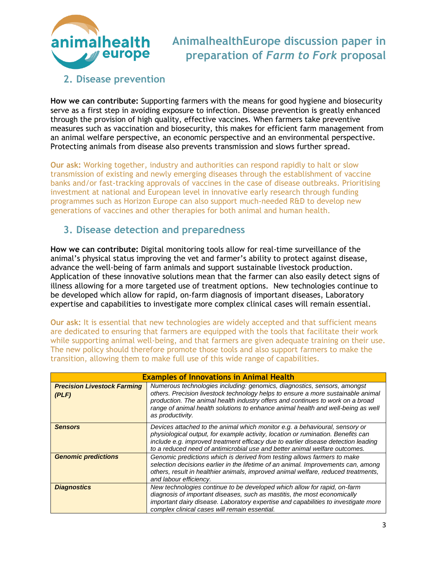

#### **2. Disease prevention**

**How we can contribute:** Supporting farmers with the means for good hygiene and biosecurity serve as a first step in avoiding exposure to infection. Disease prevention is greatly enhanced through the provision of high quality, effective vaccines. When farmers take preventive measures such as vaccination and biosecurity, this makes for efficient farm management from an animal welfare perspective, an economic perspective and an environmental perspective. Protecting animals from disease also prevents transmission and slows further spread.

**Our ask:** Working together, industry and authorities can respond rapidly to halt or slow transmission of existing and newly emerging diseases through the establishment of vaccine banks and/or fast-tracking approvals of vaccines in the case of disease outbreaks. Prioritising investment at national and European level in innovative early research through funding programmes such as Horizon Europe can also support much-needed R&D to develop new generations of vaccines and other therapies for both animal and human health.

### **3. Disease detection and preparedness**

**How we can contribute:** Digital monitoring tools allow for real-time surveillance of the animal's physical status improving the vet and farmer's ability to protect against disease, advance the well-being of farm animals and support sustainable livestock production. Application of these innovative solutions mean that the farmer can also easily detect signs of illness allowing for a more targeted use of treatment options. New technologies continue to be developed which allow for rapid, on-farm diagnosis of important diseases, Laboratory expertise and capabilities to investigate more complex clinical cases will remain essential.

**Our ask:** It is essential that new technologies are widely accepted and that sufficient means are dedicated to ensuring that farmers are equipped with the tools that facilitate their work while supporting animal well-being, and that farmers are given adequate training on their use. The new policy should therefore promote those tools and also support farmers to make the transition, allowing them to make full use of this wide range of capabilities.

| <b>Examples of Innovations in Animal Health</b> |                                                                                                                                                                                                                                                                                                                                                        |
|-------------------------------------------------|--------------------------------------------------------------------------------------------------------------------------------------------------------------------------------------------------------------------------------------------------------------------------------------------------------------------------------------------------------|
| <b>Precision Livestock Farming</b><br>(PLF)     | Numerous technologies including: genomics, diagnostics, sensors, amongst<br>others. Precision livestock technology helps to ensure a more sustainable animal<br>production. The animal health industry offers and continues to work on a broad<br>range of animal health solutions to enhance animal health and well-being as well<br>as productivity. |
| <b>Sensors</b>                                  | Devices attached to the animal which monitor e.g. a behavioural, sensory or<br>physiological output, for example activity, location or rumination. Benefits can<br>include e.g. improved treatment efficacy due to earlier disease detection leading<br>to a reduced need of antimicrobial use and better animal welfare outcomes.                     |
| <b>Genomic predictions</b>                      | Genomic predictions which is derived from testing allows farmers to make<br>selection decisions earlier in the lifetime of an animal. Improvements can, among<br>others, result in healthier animals, improved animal welfare, reduced treatments,<br>and labour efficiency.                                                                           |
| <b>Diagnostics</b>                              | New technologies continue to be developed which allow for rapid, on-farm<br>diagnosis of important diseases, such as mastitis, the most economically<br>important dairy disease. Laboratory expertise and capabilities to investigate more<br>complex clinical cases will remain essential.                                                            |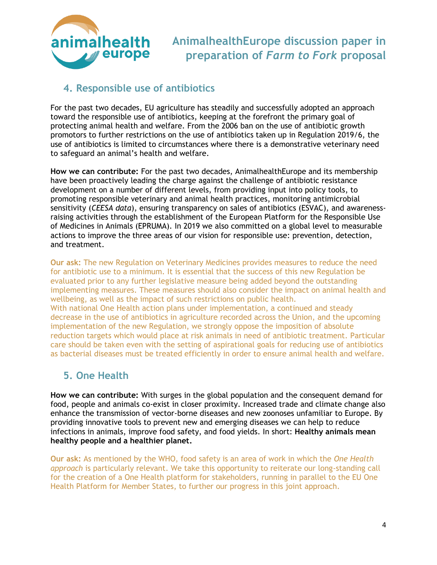

### **4. Responsible use of antibiotics**

For the past two decades, EU agriculture has steadily and successfully adopted an approach toward the responsible use of antibiotics, keeping at the forefront the primary goal of protecting animal health and welfare. From the 2006 ban on the use of antibiotic growth promotors to further restrictions on the use of antibiotics taken up in Regulation 2019/6, the use of antibiotics is limited to circumstances where there is a demonstrative veterinary need to safeguard an animal's health and welfare.

**How we can contribute:** For the past two decades, AnimalhealthEurope and its membership have been proactively leading the charge against the challenge of antibiotic resistance development on a number of different levels, from providing input into policy tools, to promoting responsible veterinary and animal health practices, monitoring antimicrobial sensitivity (*CEESA data*), ensuring transparency on sales of antibiotics (ESVAC), and awarenessraising activities through the establishment of the European Platform for the Responsible Use of Medicines in Animals (EPRUMA). In 2019 we also committed on a global level to measurable actions to improve the three areas of our vision for responsible use: prevention, detection, and treatment.

**Our ask:** The new Regulation on Veterinary Medicines provides measures to reduce the need for antibiotic use to a minimum. It is essential that the success of this new Regulation be evaluated prior to any further legislative measure being added beyond the outstanding implementing measures. These measures should also consider the impact on animal health and wellbeing, as well as the impact of such restrictions on public health. With national One Health action plans under implementation, a continued and steady decrease in the use of antibiotics in agriculture recorded across the Union, and the upcoming implementation of the new Regulation, we strongly oppose the imposition of absolute reduction targets which would place at risk animals in need of antibiotic treatment. Particular care should be taken even with the setting of aspirational goals for reducing use of antibiotics as bacterial diseases must be treated efficiently in order to ensure animal health and welfare.

## **5. One Health**

**How we can contribute:** With surges in the global population and the consequent demand for food, people and animals co-exist in closer proximity. Increased trade and climate change also enhance the transmission of vector-borne diseases and new zoonoses unfamiliar to Europe. By providing innovative tools to prevent new and emerging diseases we can help to reduce infections in animals, improve food safety, and food yields. In short: **Healthy animals mean healthy people and a healthier planet.**

**Our ask:** As mentioned by the WHO, food safety is an area of work in which the *One Health approach* is particularly relevant. We take this opportunity to reiterate our long-standing call for the creation of a One Health platform for stakeholders, running in parallel to the EU One Health Platform for Member States, to further our progress in this joint approach.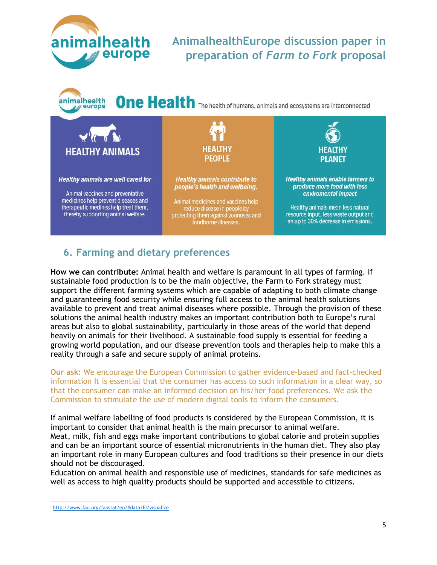



**One Health** The health of humans, animals and ecosystems are interconnected



## **6. Farming and dietary preferences**

**How we can contribute:** Animal health and welfare is paramount in all types of farming. If sustainable food production is to be the main objective, the Farm to Fork strategy must support the different farming systems which are capable of adapting to both climate change and guaranteeing food security while ensuring full access to the animal health solutions available to prevent and treat animal diseases where possible. Through the provision of these solutions the animal health industry makes an important contribution both to Europe's rural areas but also to global sustainability, particularly in those areas of the world that depend heavily on animals for their livelihood. A sustainable food supply is essential for feeding a growing world population, and our disease prevention tools and therapies help to make this a reality through a safe and secure supply of animal proteins.

**Our ask:** We encourage the European Commission to gather evidence-based and fact-checked information It is essential that the consumer has access to such information in a clear way, so that the consumer can make an informed decision on his/her food preferences. We ask the Commission to stimulate the use of modern digital tools to inform the consumers.

If animal welfare labelling of food products is considered by the European Commission, it is important to consider that animal health is the main precursor to animal welfare. Meat, milk, fish and eggs make important contributions to global calorie and protein supplies and can be an important source of essential micronutrients in the human diet. They also play an important role in many European cultures and food traditions so their presence in our diets should not be discouraged.

Education on animal health and responsible use of medicines, standards for safe medicines as well as access to high quality products should be supported and accessible to citizens.

<sup>i</sup> <http://www.fao.org/faostat/en/#data/EI/visualize>